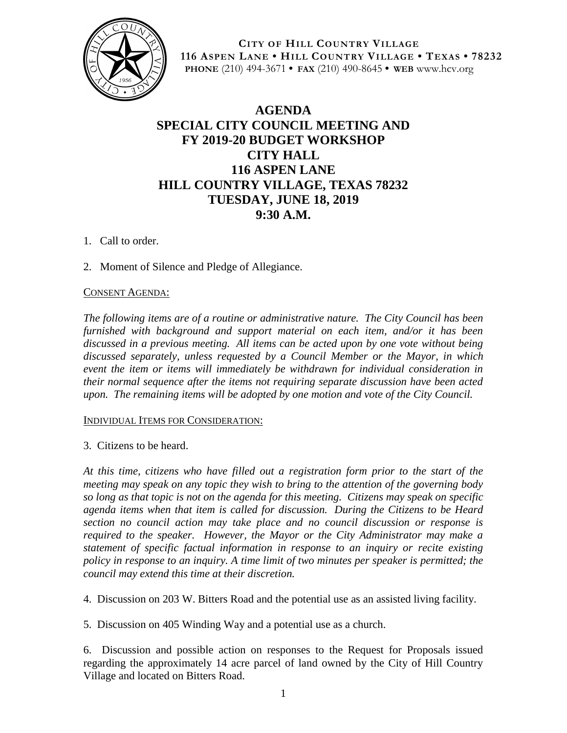

**CITY OF HILL COUNTRY VILLAGE 116 ASPEN LANE • HILL COUNTRY VILLAGE • TEXAS • 78232 PHONE** (210) 494-3671 **• FAX** (210) 490-8645 **• WEB** www.hcv.org

## **AGENDA SPECIAL CITY COUNCIL MEETING AND FY 2019-20 BUDGET WORKSHOP CITY HALL 116 ASPEN LANE HILL COUNTRY VILLAGE, TEXAS 78232 TUESDAY, JUNE 18, 2019 9:30 A.M.**

- 1. Call to order.
- 2. Moment of Silence and Pledge of Allegiance.

## CONSENT AGENDA:

*The following items are of a routine or administrative nature. The City Council has been furnished with background and support material on each item, and/or it has been discussed in a previous meeting. All items can be acted upon by one vote without being discussed separately, unless requested by a Council Member or the Mayor, in which event the item or items will immediately be withdrawn for individual consideration in their normal sequence after the items not requiring separate discussion have been acted upon. The remaining items will be adopted by one motion and vote of the City Council.*

## INDIVIDUAL ITEMS FOR CONSIDERATION:

3. Citizens to be heard.

*At this time, citizens who have filled out a registration form prior to the start of the meeting may speak on any topic they wish to bring to the attention of the governing body so long as that topic is not on the agenda for this meeting. Citizens may speak on specific agenda items when that item is called for discussion. During the Citizens to be Heard section no council action may take place and no council discussion or response is required to the speaker. However, the Mayor or the City Administrator may make a statement of specific factual information in response to an inquiry or recite existing policy in response to an inquiry. A time limit of two minutes per speaker is permitted; the council may extend this time at their discretion.*

4. Discussion on 203 W. Bitters Road and the potential use as an assisted living facility.

5. Discussion on 405 Winding Way and a potential use as a church.

6. Discussion and possible action on responses to the Request for Proposals issued regarding the approximately 14 acre parcel of land owned by the City of Hill Country Village and located on Bitters Road.